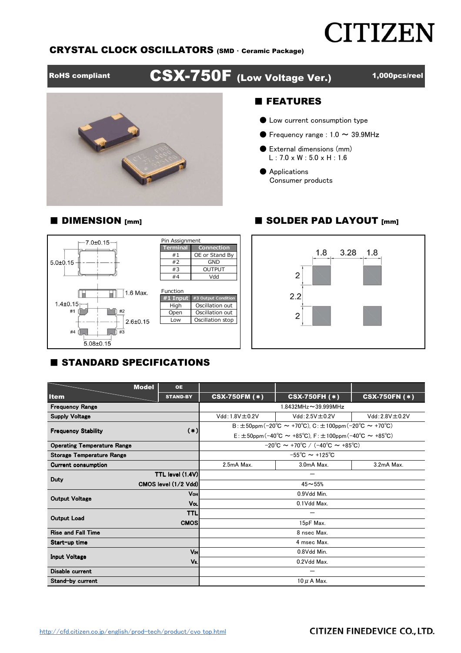# **CITIZEN**

#### CRYSTAL CLOCK OSCILLATORS (SMD ・ Ceramic Package)

RoHS compliant **CSX-750F** (Low Voltage Ver.) 1,000pcs/reel

#### ■ FEATURES

- Low current consumption type
- $\bullet$  Frequency range : 1.0  $\sim$  39.9MHz
- External dimensions (mm) L : 7.0 x W : 5.0 x H : 1.6
- Applications Consumer products

#### ■ DIMENSION [mm] ■ SOLDER PAD LAYOUT [mm]





#### **E STANDARD SPECIFICATIONS**

|                                    | <b>Model</b> | <b>OE</b>                                                         |                                                                            |                                              |                      |  |  |  |  |
|------------------------------------|--------------|-------------------------------------------------------------------|----------------------------------------------------------------------------|----------------------------------------------|----------------------|--|--|--|--|
| <b>Item</b>                        |              | <b>STAND-BY</b>                                                   | <b>CSX-750FM (*)</b>                                                       | <b>CSX-750FH (*)</b>                         | <b>CSX-750FN (*)</b> |  |  |  |  |
| <b>Frequency Range</b>             |              |                                                                   | $1.8432$ MHz $\sim$ 39.999MHz                                              |                                              |                      |  |  |  |  |
| <b>Supply Voltage</b>              |              |                                                                   | $Vdd: 1.8V \pm 0.2V$                                                       | $Vdd: 2.5V \pm 0.2V$<br>$Vdd: 2.8V \pm 0.2V$ |                      |  |  |  |  |
|                                    |              | $B: \pm 50$ ppm (-20°C ~ +70°C), C: $\pm 100$ ppm (-20°C ~ +70°C) |                                                                            |                                              |                      |  |  |  |  |
| <b>Frequency Stability</b>         |              | $(*)$                                                             | $E: \pm 50$ ppm (-40°C ~ +85°C), F: $\pm 100$ ppm (-40°C ~ +85°C)          |                                              |                      |  |  |  |  |
| <b>Operating Temperature Range</b> |              |                                                                   | $-20^{\circ}$ C ~ +70 $^{\circ}$ C / (-40 $^{\circ}$ C ~ +85 $^{\circ}$ C) |                                              |                      |  |  |  |  |
| Storage Temperature Range          |              |                                                                   | $-55^{\circ}$ C ~ +125 $^{\circ}$ C                                        |                                              |                      |  |  |  |  |
| <b>Current consumption</b>         |              |                                                                   | 2.5mA Max.                                                                 | 3.0mA Max.                                   |                      |  |  |  |  |
| <b>Duty</b>                        |              | TTL level (1.4V)                                                  |                                                                            |                                              |                      |  |  |  |  |
|                                    |              | CMOS level (1/2 Vdd)                                              | $45 - 55%$                                                                 |                                              |                      |  |  |  |  |
| <b>Output Voltage</b>              | <b>V</b> он  |                                                                   | 0.9Vdd Min.                                                                |                                              |                      |  |  |  |  |
|                                    | VoL          |                                                                   | 0.1Vdd Max.                                                                |                                              |                      |  |  |  |  |
| <b>Output Load</b>                 |              | <b>TTL</b>                                                        |                                                                            |                                              |                      |  |  |  |  |
|                                    |              | <b>CMOS</b>                                                       | 15pF Max.                                                                  |                                              |                      |  |  |  |  |
| <b>Rise and Fall Time</b>          |              |                                                                   | 8 nsec Max.                                                                |                                              |                      |  |  |  |  |
| Start-up time                      |              |                                                                   | 4 msec Max.                                                                |                                              |                      |  |  |  |  |
| <b>Input Voltage</b>               |              | VIH<br>0.8Vdd Min.                                                |                                                                            |                                              |                      |  |  |  |  |
|                                    |              | $V_{IL}$                                                          | 0.2Vdd Max.                                                                |                                              |                      |  |  |  |  |
| Disable current                    |              |                                                                   |                                                                            |                                              |                      |  |  |  |  |
| Stand-by current                   |              |                                                                   | $10 \mu$ A Max.                                                            |                                              |                      |  |  |  |  |